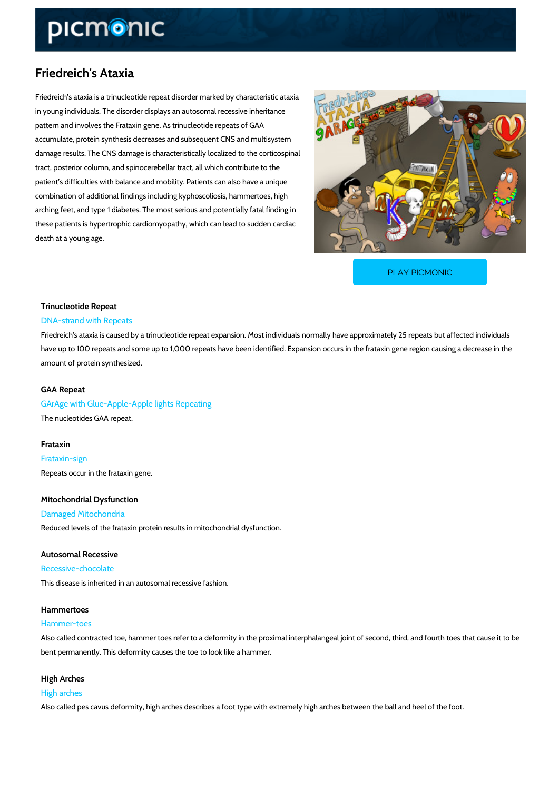# Friedreich's Ataxia

Friedreich s ataxia is a trinucleotide repeat disorder marked by characteristic ataxia in young individuals. The disorder displays an autosomal recessive inheritance pattern and involves the Frataxin gene. As trinucleotide repeats of GAA accumulate, protein synthesis decreases and subsequent CNS and multisystem damage results. The CNS damage is characteristically localized to the corticospinal tract, posterior column, and spinocerebellar tract, all which contribute to the patient s difficulties with balance and mobility. Patients can also have a unique combination of additional findings including kyphoscoliosis, hammertoes, high arching feet, and type 1 diabetes. The most serious and potentially fatal finding in these patients is hypertrophic cardiomyopathy, which can lead to sudden cardiac death at a young age.

[PLAY PICMONIC](https://www.picmonic.com/learn/friedreich-s-ataxia_43?utm_source=downloadable_content&utm_medium=distributedcontent&utm_campaign=pathways_pdf&utm_content=Friedreich)

## Trinucleotide Repeat DNA-strand with Repeats

Friedreich's ataxia is caused by a trinucleotide repeat expansion. Most individuals normally h have up to 100 repeats and some up to 1,000 repeats have been identified. Expansion occurs amount of protein synthesized.

#### GAA Repeat

GArAge with Glue-Apple-Apple lights Repeating The nucleotides GAA repeat.

#### Frataxin

Frataxin-sign Repeats occur in the frataxin gene.

### Mitochondrial Dysfunction

Damaged Mitochondria Reduced levels of the frataxin protein results in mitochondrial dysfunction.

#### Autosomal Recessive

#### Recessive-chocolate

This disease is inherited in an autosomal recessive fashion.

# Hammertoes

#### Hammer-toes

Also called contracted toe, hammer toes refer to a deformity in the proximal interphalangeal j bent permanently. This deformity causes the toe to look like a hammer.

High Arches High arches Also called pes cavus deformity, high arches describes a foot type with extremely high arches